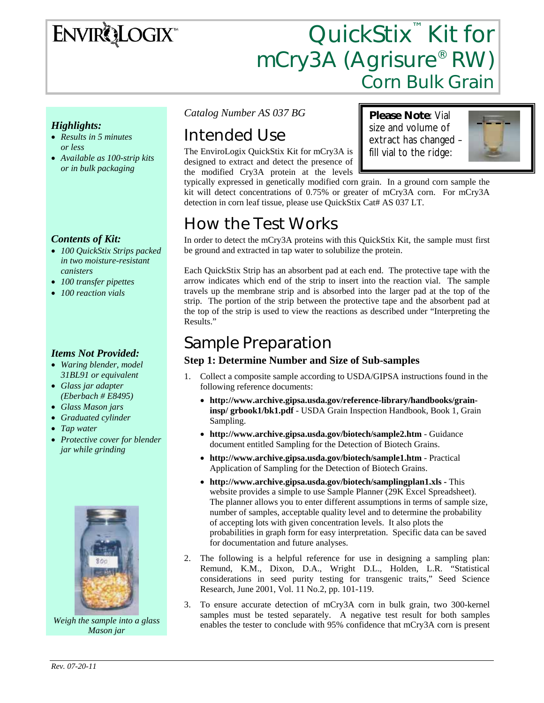# ENVIRQLOGIX

# QuickStix<sup>™</sup> Kit for mCry3A (Agrisure® RW) Corn Bulk Grain

### *Highlights:*

- *Results in 5 minutes or less*
- *Available as 100-strip kits or in bulk packaging*

### *Contents of Kit:*

- *100 QuickStix Strips packed in two moisture-resistant canisters*
- *100 transfer pipettes*
- *100 reaction vials*

#### *Items Not Provided:*

- *Waring blender, model 31BL91 or equivalent*
- *Glass jar adapter (Eberbach # E8495)*
- *Glass Mason jars*
- *Graduated cylinder*
- *Tap water*
- *Protective cover for blender jar while grinding*



*Weigh the sample into a glass Mason jar* 

*Catalog Number AS 037 BG* 

# Intended Use

The EnviroLogix QuickStix Kit for mCry3A is designed to extract and detect the presence of the modified Cry3A protein at the levels

**Please Note**: Vial size and volume of extract has changed – fill vial to the ridge:



typically expressed in genetically modified corn grain. In a ground corn sample the kit will detect concentrations of 0.75% or greater of mCry3A corn. For mCry3A detection in corn leaf tissue, please use QuickStix Cat# AS 037 LT.

## How the Test Works

In order to detect the mCry3A proteins with this QuickStix Kit, the sample must first be ground and extracted in tap water to solubilize the protein.

Each QuickStix Strip has an absorbent pad at each end. The protective tape with the arrow indicates which end of the strip to insert into the reaction vial. The sample travels up the membrane strip and is absorbed into the larger pad at the top of the strip. The portion of the strip between the protective tape and the absorbent pad at the top of the strip is used to view the reactions as described under "Interpreting the Results."

### Sample Preparation

#### **Step 1: Determine Number and Size of Sub-samples**

- 1. Collect a composite sample according to USDA/GIPSA instructions found in the following reference documents:
	- **http://www.archive.gipsa.usda.gov/reference-library/handbooks/graininsp/ grbook1/bk1.pdf** - USDA Grain Inspection Handbook, Book 1, Grain Sampling.
	- **http://www.archive.gipsa.usda.gov/biotech/sample2.htm** Guidance document entitled Sampling for the Detection of Biotech Grains.
	- **http://www.archive.gipsa.usda.gov/biotech/sample1.htm** Practical Application of Sampling for the Detection of Biotech Grains.
	- **http://www.archive.gipsa.usda.gov/biotech/samplingplan1.xls** This website provides a simple to use Sample Planner (29K Excel Spreadsheet). The planner allows you to enter different assumptions in terms of sample size, number of samples, acceptable quality level and to determine the probability of accepting lots with given concentration levels. It also plots the probabilities in graph form for easy interpretation. Specific data can be saved for documentation and future analyses.
- 2. The following is a helpful reference for use in designing a sampling plan: Remund, K.M., Dixon, D.A., Wright D.L., Holden, L.R. "Statistical considerations in seed purity testing for transgenic traits," Seed Science Research, June 2001, Vol. 11 No.2, pp. 101-119.
- 3. To ensure accurate detection of mCry3A corn in bulk grain, two 300-kernel samples must be tested separately. A negative test result for both samples enables the tester to conclude with 95% confidence that mCry3A corn is present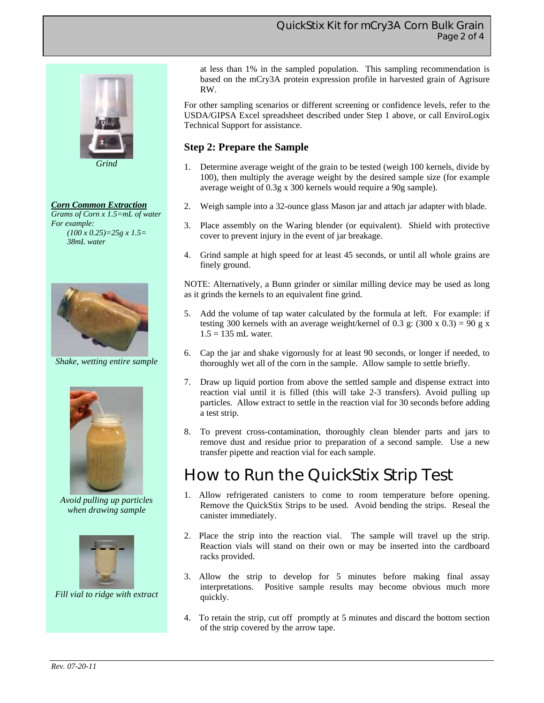

*Grind* 

#### *Corn Common Extraction*

*Grams of Corn x 1.5=mL of water For example: (100 x 0.25)=25g x 1.5= 38mL water* 



*Shake, wetting entire sample* 



*Avoid pulling up particles when drawing sample* 



*Fill vial to ridge with extract* 

at less than 1% in the sampled population. This sampling recommendation is based on the mCry3A protein expression profile in harvested grain of Agrisure RW.

For other sampling scenarios or different screening or confidence levels, refer to the USDA/GIPSA Excel spreadsheet described under Step 1 above, or call EnviroLogix Technical Support for assistance.

### **Step 2: Prepare the Sample**

- 1. Determine average weight of the grain to be tested (weigh 100 kernels, divide by 100), then multiply the average weight by the desired sample size (for example average weight of 0.3g x 300 kernels would require a 90g sample).
- 2. Weigh sample into a 32-ounce glass Mason jar and attach jar adapter with blade.
- 3. Place assembly on the Waring blender (or equivalent). Shield with protective cover to prevent injury in the event of jar breakage.
- 4. Grind sample at high speed for at least 45 seconds, or until all whole grains are finely ground.

NOTE: Alternatively, a Bunn grinder or similar milling device may be used as long as it grinds the kernels to an equivalent fine grind.

- 5. Add the volume of tap water calculated by the formula at left. For example: if testing 300 kernels with an average weight/kernel of 0.3 g: (300 x 0.3) = 90 g x  $1.5 = 135$  mL water.
- 6. Cap the jar and shake vigorously for at least 90 seconds, or longer if needed, to thoroughly wet all of the corn in the sample. Allow sample to settle briefly.
- 7. Draw up liquid portion from above the settled sample and dispense extract into reaction vial until it is filled (this will take 2-3 transfers). Avoid pulling up particles. Allow extract to settle in the reaction vial for 30 seconds before adding a test strip.
- 8. To prevent cross-contamination, thoroughly clean blender parts and jars to remove dust and residue prior to preparation of a second sample. Use a new transfer pipette and reaction vial for each sample.

## How to Run the QuickStix Strip Test

- 1. Allow refrigerated canisters to come to room temperature before opening. Remove the QuickStix Strips to be used. Avoid bending the strips. Reseal the canister immediately.
- 2. Place the strip into the reaction vial. The sample will travel up the strip. Reaction vials will stand on their own or may be inserted into the cardboard racks provided.
- 3. Allow the strip to develop for 5 minutes before making final assay interpretations. Positive sample results may become obvious much more quickly.
- 4. To retain the strip, cut off promptly at 5 minutes and discard the bottom section of the strip covered by the arrow tape.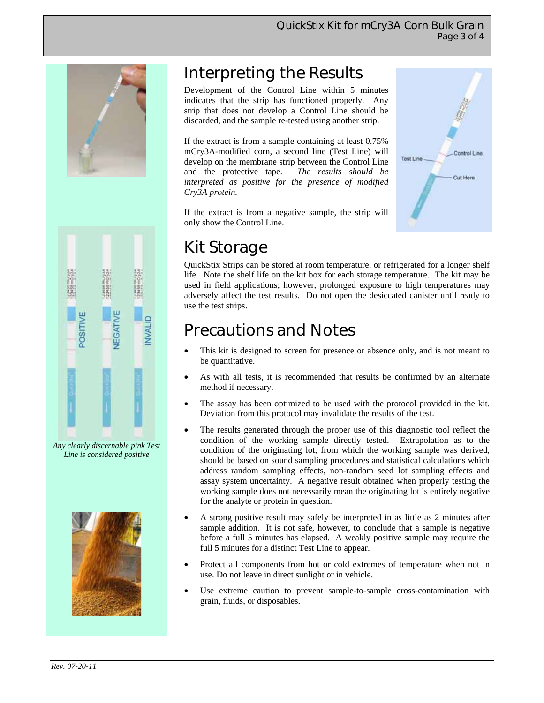

# Interpreting the Results

Development of the Control Line within 5 minutes indicates that the strip has functioned properly. Any strip that does not develop a Control Line should be discarded, and the sample re-tested using another strip.

If the extract is from a sample containing at least 0.75% mCry3A-modified corn, a second line (Test Line) will develop on the membrane strip between the Control Line and the protective tape. *The results should be interpreted as positive for the presence of modified Cry3A protein.* 

Control Line Test Line Cut Here



*Any clearly discernable pink Test Line is considered positive* 



### If the extract is from a negative sample, the strip will only show the Control Line.

# Kit Storage

QuickStix Strips can be stored at room temperature, or refrigerated for a longer shelf life. Note the shelf life on the kit box for each storage temperature. The kit may be used in field applications; however, prolonged exposure to high temperatures may adversely affect the test results. Do not open the desiccated canister until ready to use the test strips.

# Precautions and Notes

- This kit is designed to screen for presence or absence only, and is not meant to be quantitative.
- As with all tests, it is recommended that results be confirmed by an alternate method if necessary.
- The assay has been optimized to be used with the protocol provided in the kit. Deviation from this protocol may invalidate the results of the test.
- The results generated through the proper use of this diagnostic tool reflect the condition of the working sample directly tested. Extrapolation as to the condition of the originating lot, from which the working sample was derived, should be based on sound sampling procedures and statistical calculations which address random sampling effects, non-random seed lot sampling effects and assay system uncertainty. A negative result obtained when properly testing the working sample does not necessarily mean the originating lot is entirely negative for the analyte or protein in question.
- A strong positive result may safely be interpreted in as little as 2 minutes after sample addition. It is not safe, however, to conclude that a sample is negative before a full 5 minutes has elapsed. A weakly positive sample may require the full 5 minutes for a distinct Test Line to appear.
- Protect all components from hot or cold extremes of temperature when not in use. Do not leave in direct sunlight or in vehicle.
- Use extreme caution to prevent sample-to-sample cross-contamination with grain, fluids, or disposables.